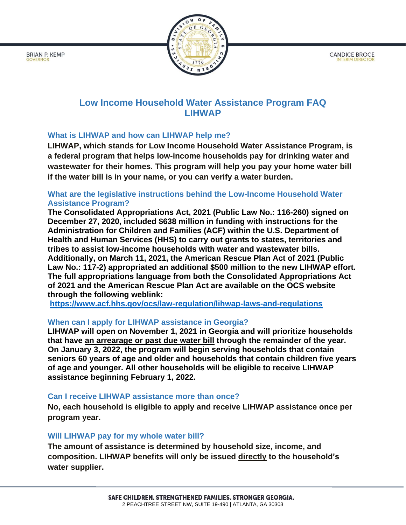**CANDICE BROCE** 



# **Low Income Household Water Assistance Program FAQ LIHWAP**

### **What is LIHWAP and how can LIHWAP help me?**

**LIHWAP, which stands for Low Income Household Water Assistance Program, is a federal program that helps low-income households pay for drinking water and wastewater for their homes. This program will help you pay your home water bill if the water bill is in your name, or you can verify a water burden.** 

### **What are the legislative instructions behind the Low-Income Household Water Assistance Program?**

**The Consolidated Appropriations Act, 2021 (Public Law No.: 116-260) signed on December 27, 2020, included \$638 million in funding with instructions for the Administration for Children and Families (ACF) within the U.S. Department of Health and Human Services (HHS) to carry out grants to states, territories and tribes to assist low-income households with water and wastewater bills. Additionally, on March 11, 2021, the American Rescue Plan Act of 2021 (Public Law No.: 117-2) appropriated an additional \$500 million to the new LIHWAP effort. The full appropriations language from both the Consolidated Appropriations Act of 2021 and the American Rescue Plan Act are available on the OCS website through the following weblink:**

**<https://www.acf.hhs.gov/ocs/law-regulation/lihwap-laws-and-regulations>**

## **When can I apply for LIHWAP assistance in Georgia?**

**LIHWAP will open on November 1, 2021 in Georgia and will prioritize households that have an arrearage or past due water bill through the remainder of the year. On January 3, 2022, the program will begin serving households that contain seniors 60 years of age and older and households that contain children five years of age and younger. All other households will be eligible to receive LIHWAP assistance beginning February 1, 2022.**

## **Can I receive LIHWAP assistance more than once?**

**No, each household is eligible to apply and receive LIHWAP assistance once per program year.**

## **Will LIHWAP pay for my whole water bill?**

**The amount of assistance is determined by household size, income, and composition. LIHWAP benefits will only be issued directly to the household's water supplier.**

**BRIAN P. KEMP**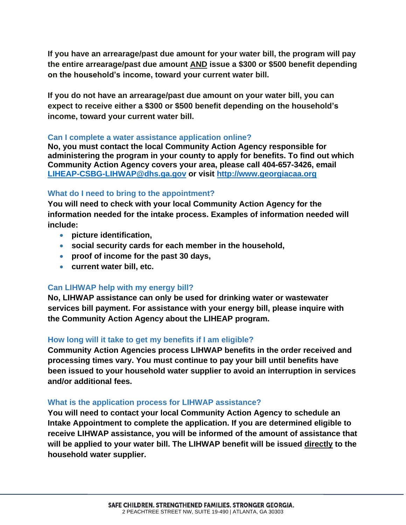**If you have an arrearage/past due amount for your water bill, the program will pay the entire arrearage/past due amount AND issue a \$300 or \$500 benefit depending on the household's income, toward your current water bill.** 

**If you do not have an arrearage/past due amount on your water bill, you can expect to receive either a \$300 or \$500 benefit depending on the household's income, toward your current water bill.** 

#### **Can I complete a water assistance application online?**

**No, you must contact the local Community Action Agency responsible for administering the program in your county to apply for benefits. To find out which Community Action Agency covers your area, please call 404-657-3426, email [LIHEAP-CSBG-LIHWAP@dhs.ga.gov](mailto:LIHEAP-CSBG-LIHWAP@dhs.ga.gov) or visit [http://www.georgiacaa.org](http://www.georgiacaa.org/)**

#### **What do I need to bring to the appointment?**

**You will need to check with your local Community Action Agency for the information needed for the intake process. Examples of information needed will include:**

- **picture identification,**
- **social security cards for each member in the household,**
- **proof of income for the past 30 days,**
- **current water bill, etc.**

#### **Can LIHWAP help with my energy bill?**

**No, LIHWAP assistance can only be used for drinking water or wastewater services bill payment. For assistance with your energy bill, please inquire with the Community Action Agency about the LIHEAP program.**

#### **How long will it take to get my benefits if I am eligible?**

**Community Action Agencies process LIHWAP benefits in the order received and processing times vary. You must continue to pay your bill until benefits have been issued to your household water supplier to avoid an interruption in services and/or additional fees.**

#### **What is the application process for LIHWAP assistance?**

**You will need to contact your local Community Action Agency to schedule an Intake Appointment to complete the application. If you are determined eligible to receive LIHWAP assistance, you will be informed of the amount of assistance that will be applied to your water bill. The LIHWAP benefit will be issued directly to the household water supplier.**